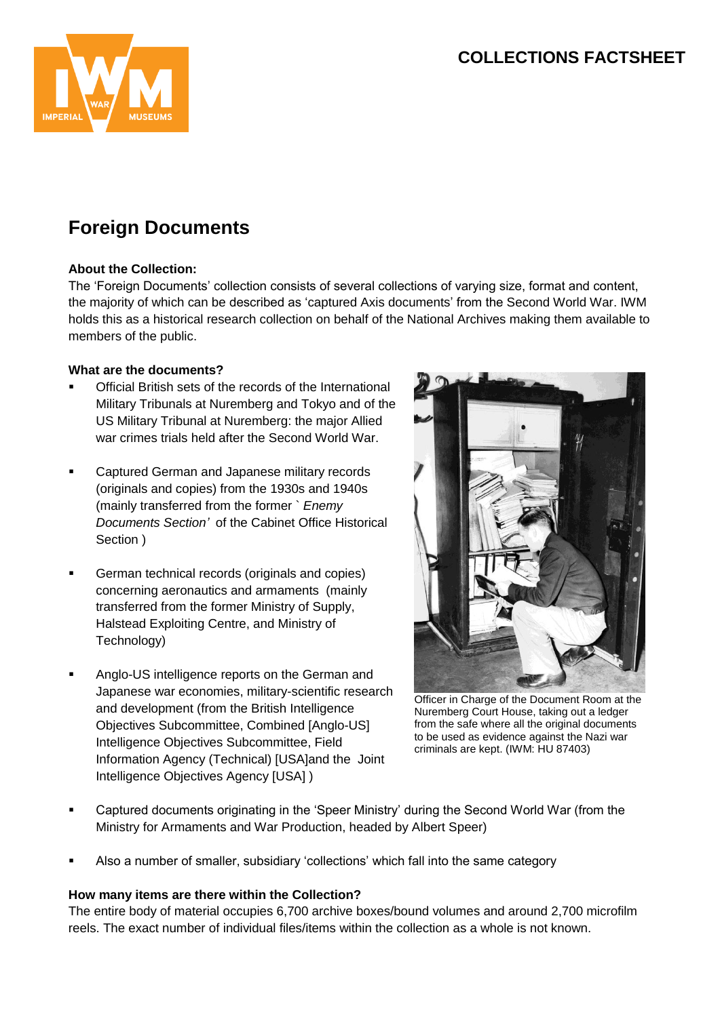## **COLLECTIONS FACTSHEET**



# **Foreign Documents**

#### **About the Collection:**

The 'Foreign Documents' collection consists of several collections of varying size, format and content, the majority of which can be described as 'captured Axis documents' from the Second World War. IWM holds this as a historical research collection on behalf of the National Archives making them available to members of the public.

#### **What are the documents?**

- Official British sets of the records of the International Military Tribunals at Nuremberg and Tokyo and of the US Military Tribunal at Nuremberg: the major Allied war crimes trials held after the Second World War.
- **EXEC** Captured German and Japanese military records (originals and copies) from the 1930s and 1940s (mainly transferred from the former ` *Enemy Documents Section'* of the Cabinet Office Historical Section )
- German technical records (originals and copies) concerning aeronautics and armaments (mainly transferred from the former Ministry of Supply, Halstead Exploiting Centre, and Ministry of Technology)
- Anglo-US intelligence reports on the German and Japanese war economies, military-scientific research and development (from the British Intelligence Objectives Subcommittee, Combined [Anglo-US] Intelligence Objectives Subcommittee, Field Information Agency (Technical) [USA]and the Joint Intelligence Objectives Agency [USA] )



Officer in Charge of the Document Room at the Nuremberg Court House, taking out a ledger from the safe where all the original documents to be used as evidence against the Nazi war criminals are kept. (IWM: HU 87403)

- Captured documents originating in the 'Speer Ministry' during the Second World War (from the Ministry for Armaments and War Production, headed by Albert Speer)
- Also a number of smaller, subsidiary 'collections' which fall into the same category

#### **How many items are there within the Collection?**

The entire body of material occupies 6,700 archive boxes/bound volumes and around 2,700 microfilm reels. The exact number of individual files/items within the collection as a whole is not known.